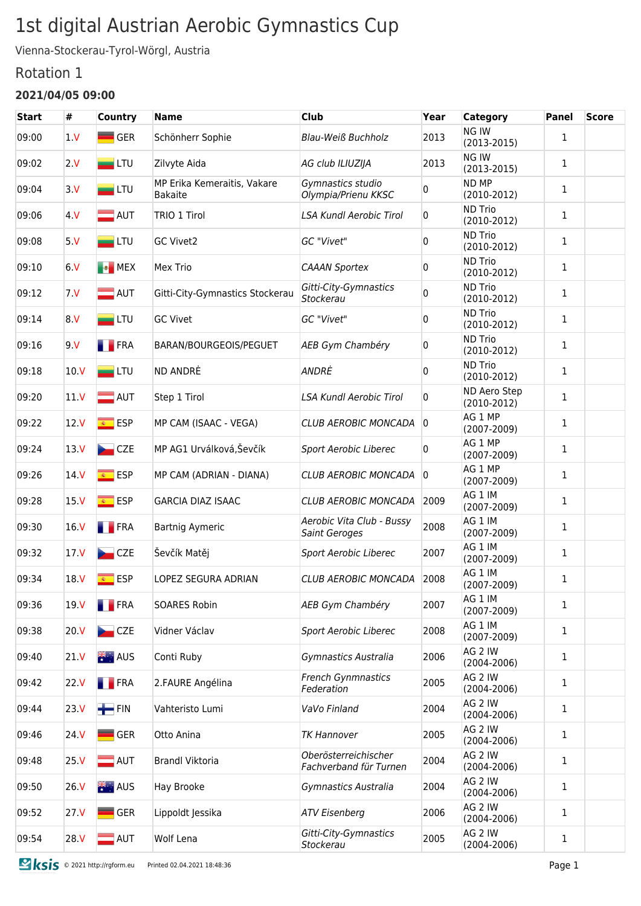# 1st digital Austrian Aerobic Gymnastics Cup

Vienna-Stockerau-Tyrol-Wörgl, Austria

### Rotation 1

#### **2021/04/05 09:00**

| <b>Start</b> | #               | Country                                   | <b>Name</b>                                   | <b>Club</b>                                    | Year           | <b>Category</b>                 | <b>Panel</b> | <b>Score</b> |
|--------------|-----------------|-------------------------------------------|-----------------------------------------------|------------------------------------------------|----------------|---------------------------------|--------------|--------------|
| 09:00        | 1 <sub>V</sub>  | <b>GER</b>                                | Schönherr Sophie                              | <b>Blau-Weiß Buchholz</b>                      | 2013           | NG IW<br>$(2013 - 2015)$        | $\mathbf{1}$ |              |
| 09:02        | 2V              | $\blacksquare$ LTU                        | Zilvyte Aida                                  | AG club ILIUZIJA                               | 2013           | NG IW<br>$(2013 - 2015)$        | $\mathbf{1}$ |              |
| 09:04        | 3V              | $\blacksquare$ LTU                        | MP Erika Kemeraitis, Vakare<br><b>Bakaite</b> | Gymnastics studio<br>Olympia/Prienu KKSC       | 0              | ND MP<br>$(2010-2012)$          | $\mathbf{1}$ |              |
| 09:06        | 4 V             | $\blacksquare$ AUT                        | TRIO 1 Tirol                                  | <b>LSA Kundl Aerobic Tirol</b>                 | 0              | <b>ND Trio</b><br>$(2010-2012)$ | $\mathbf{1}$ |              |
| 09:08        | 5V              | $=$ LTU                                   | <b>GC Vivet2</b>                              | GC "Vivet"                                     | 0              | <b>ND Trio</b><br>$(2010-2012)$ | $\mathbf{1}$ |              |
| 09:10        | 6V              | <b>B</b> MEX                              | Mex Trio                                      | <b>CAAAN Sportex</b>                           | 0              | <b>ND Trio</b><br>$(2010-2012)$ | $\mathbf{1}$ |              |
| 09:12        | 7 <sub>N</sub>  | $\blacksquare$ AUT                        | Gitti-City-Gymnastics Stockerau               | Gitti-City-Gymnastics<br>Stockerau             | 0              | <b>ND Trio</b><br>$(2010-2012)$ | $\mathbf{1}$ |              |
| 09:14        | 8 V             | $=$ LTU                                   | <b>GC Vivet</b>                               | GC "Vivet"                                     | 0              | <b>ND Trio</b><br>$(2010-2012)$ | $\mathbf{1}$ |              |
| 09:16        | 9.V             | <b>FRA</b>                                | BARAN/BOURGEOIS/PEGUET                        | AEB Gym Chambéry                               | 0              | <b>ND Trio</b><br>$(2010-2012)$ | 1            |              |
| 09:18        | 10 <sub>N</sub> | $=$ LTU                                   | ND ANDRE                                      | ANDRÉ                                          | 0              | <b>ND Trio</b><br>$(2010-2012)$ | $\mathbf{1}$ |              |
| 09:20        | 11V             | $\blacksquare$ AUT                        | Step 1 Tirol                                  | <b>LSA Kundl Aerobic Tirol</b>                 | 0              | ND Aero Step<br>$(2010-2012)$   | $\mathbf{1}$ |              |
| 09:22        | 12 <sub>V</sub> | <mark>⊛ ESP</mark>                        | MP CAM (ISAAC - VEGA)                         | <b>CLUB AEROBIC MONCADA</b>                    | $ 0\rangle$    | AG 1 MP<br>$(2007 - 2009)$      | $\mathbf{1}$ |              |
| 09:24        | 13 <sub>N</sub> | CZE                                       | MP AG1 Urválková, Ševčík                      | Sport Aerobic Liberec                          | 0              | AG 1 MP<br>$(2007 - 2009)$      | $\mathbf{1}$ |              |
| 09:26        | 14 <sub>N</sub> | <mark>⊛ ESP</mark>                        | MP CAM (ADRIAN - DIANA)                       | <b>CLUB AEROBIC MONCADA</b>                    | $\overline{0}$ | AG 1 MP<br>$(2007 - 2009)$      | $\mathbf{1}$ |              |
| 09:28        | 15 <sub>N</sub> | <mark>⊛ ESP</mark>                        | <b>GARCIA DIAZ ISAAC</b>                      | CLUB AEROBIC MONCADA                           | 2009           | AG 1 IM<br>$(2007 - 2009)$      | 1            |              |
| 09:30        | 16 <sub>V</sub> | <b>FRA</b>                                | <b>Bartnig Aymeric</b>                        | Aerobic Vita Club - Bussy<br>Saint Geroges     | 2008           | AG 1 IM<br>$(2007 - 2009)$      | $\mathbf{1}$ |              |
| 09:32        | 17 <sub>V</sub> | CZE                                       | Ševčík Matěj                                  | Sport Aerobic Liberec                          | 2007           | AG 1 IM<br>$(2007 - 2009)$      | 1            |              |
| 09:34        | 18.V            | <b>ESP</b><br>$\overline{\mathbf{g}_i}$ . | LOPEZ SEGURA ADRIAN                           | <b>CLUB AEROBIC MONCADA</b>                    | 2008           | AG 1 IM<br>$(2007 - 2009)$      | $\mathbf{1}$ |              |
| 09:36        | 19 V            | <b>FRA</b>                                | <b>SOARES Robin</b>                           | AEB Gym Chambéry                               | 2007           | AG 1 IM<br>$(2007 - 2009)$      | $\mathbf{1}$ |              |
| 09:38        | 20 <sub>N</sub> | CZE                                       | Vidner Václav                                 | <b>Sport Aerobic Liberec</b>                   | 2008           | AG 1 IM<br>$(2007 - 2009)$      | $\mathbf{1}$ |              |
| 09:40        | 21 <sub>V</sub> | <b>类:AUS</b>                              | Conti Ruby                                    | Gymnastics Australia                           | 2006           | AG 2 IW<br>$(2004 - 2006)$      | $\mathbf{1}$ |              |
| 09:42        | 22 <sub>N</sub> | <b>FRA</b>                                | 2.FAURE Angélina                              | <b>French Gynmnastics</b><br>Federation        | 2005           | AG 2 IW<br>$(2004 - 2006)$      | $\mathbf{1}$ |              |
| 09:44        | 23 <sub>V</sub> | $+$ FIN                                   | Vahteristo Lumi                               | VaVo Finland                                   | 2004           | AG 2 IW<br>$(2004 - 2006)$      | $\mathbf{1}$ |              |
| 09:46        | 24 V            | $\blacksquare$ GER                        | Otto Anina                                    | <b>TK Hannover</b>                             | 2005           | AG 2 IW<br>$(2004 - 2006)$      | $\mathbf{1}$ |              |
| 09:48        | 25 <sub>V</sub> | $\blacksquare$ AUT                        | <b>Brandl Viktoria</b>                        | Oberösterreichischer<br>Fachverband für Turnen | 2004           | AG 2 IW<br>$(2004 - 2006)$      | $\mathbf{1}$ |              |
| 09:50        | 26 V            | <mark>米:</mark> AUS                       | Hay Brooke                                    | Gymnastics Australia                           | 2004           | AG 2 IW<br>$(2004 - 2006)$      | $\mathbf{1}$ |              |
| 09:52        | 27 <sub>V</sub> | GER                                       | Lippoldt Jessika                              | <b>ATV Eisenberg</b>                           | 2006           | AG 2 IW<br>$(2004 - 2006)$      | $\mathbf{1}$ |              |
| 09:54        | 28 V            | $\blacksquare$ AUT                        | Wolf Lena                                     | Gitti-City-Gymnastics<br>Stockerau             | 2005           | AG 2 IW<br>$(2004 - 2006)$      | $\mathbf{1}$ |              |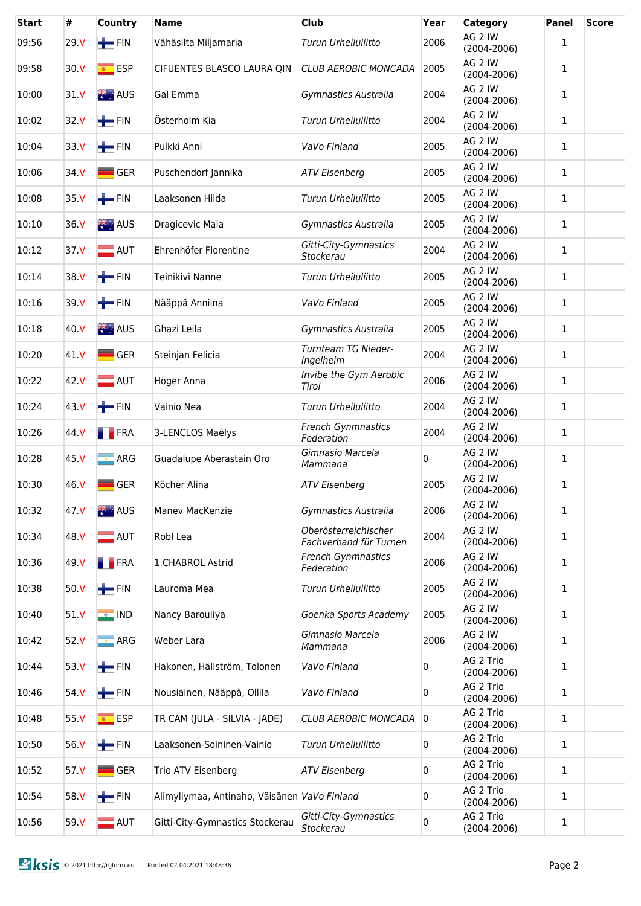| Start | #               | Country                  | <b>Name</b>                                  | <b>Club</b>                                    | Year | <b>Category</b>              | <b>Panel</b> | <b>Score</b> |
|-------|-----------------|--------------------------|----------------------------------------------|------------------------------------------------|------|------------------------------|--------------|--------------|
| 09:56 | 29. V           | $\blacksquare$ FIN       | Vähäsilta Miljamaria                         | Turun Urheiluliitto                            | 2006 | AG 2 IW<br>$(2004 - 2006)$   | $\mathbf{1}$ |              |
| 09:58 | 30 <sub>N</sub> | $\overline{\bullet}$ ESP | CIFUENTES BLASCO LAURA QIN                   | <b>CLUB AEROBIC MONCADA</b>                    | 2005 | AG 2 IW<br>$(2004 - 2006)$   | 1            |              |
| 10:00 | 31 V            | <b>No. 405</b>           | Gal Emma                                     | Gymnastics Australia                           | 2004 | AG 2 IW<br>$(2004 - 2006)$   | 1            |              |
| 10:02 | 32 V            | $\blacksquare$ FIN       | Österholm Kia                                | Turun Urheiluliitto                            | 2004 | AG 2 IW<br>$(2004 - 2006)$   | 1            |              |
| 10:04 | 33.V            | $\blacksquare$ FIN       | Pulkki Anni                                  | VaVo Finland                                   | 2005 | AG 2 IW<br>$(2004 - 2006)$   | 1            |              |
| 10:06 | 34 V            | <b>GER</b>               | Puschendorf Jannika                          | <b>ATV Eisenberg</b>                           | 2005 | AG 2 IW<br>$(2004 - 2006)$   | 1            |              |
| 10:08 | 35 V            | $\blacksquare$ FIN       | Laaksonen Hilda                              | Turun Urheiluliitto                            | 2005 | AG 2 IW<br>$(2004 - 2006)$   | 1            |              |
| 10:10 | 36 V            | <b>XX</b> AUS            | Dragicevic Maia                              | Gymnastics Australia                           | 2005 | AG 2 IW<br>$(2004 - 2006)$   | 1            |              |
| 10:12 | 37 V            | $\blacksquare$ AUT       | Ehrenhöfer Florentine                        | Gitti-City-Gymnastics<br>Stockerau             | 2004 | AG 2 IW<br>$(2004 - 2006)$   | 1            |              |
| 10:14 | 38 V            | $H$ FIN                  | Teinikivi Nanne                              | Turun Urheiluliitto                            | 2005 | AG 2 IW<br>$(2004 - 2006)$   | 1            |              |
| 10:16 | 39 V            | $H$ FIN                  | Nääppä Anniina                               | VaVo Finland                                   | 2005 | AG 2 IW<br>$(2004 - 2006)$   | 1            |              |
| 10:18 | 40 V            | 张· AUS                   | Ghazi Leila                                  | Gymnastics Australia                           | 2005 | AG 2 IW<br>$(2004 - 2006)$   | 1            |              |
| 10:20 | 41 V            | $\blacksquare$ GER       | Steinjan Felicia                             | Turnteam TG Nieder-<br>Ingelheim               | 2004 | AG 2 IW<br>$(2004 - 2006)$   | 1            |              |
| 10:22 | 42 V            | $\blacksquare$ AUT       | Höger Anna                                   | Invibe the Gym Aerobic<br>Tirol                | 2006 | AG 2 IW<br>$(2004 - 2006)$   | 1            |              |
| 10:24 | 43 V            | $\blacksquare$ FIN       | Vainio Nea                                   | Turun Urheiluliitto                            | 2004 | AG 2 IW<br>$(2004 - 2006)$   | 1            |              |
| 10:26 | 44 V            | <b>FRA</b>               | 3-LENCLOS Maëlys                             | <b>French Gynmnastics</b><br>Federation        | 2004 | AG 2 IW<br>$(2004 - 2006)$   | 1            |              |
| 10:28 | 45 V            | $\blacksquare$ ARG       | Guadalupe Aberastain Oro                     | Gimnasio Marcela<br>Mammana                    | 0    | AG 2 IW<br>$(2004 - 2006)$   | 1            |              |
| 10:30 | 46 V            | $\blacksquare$ GER       | Köcher Alina                                 | <b>ATV Eisenberg</b>                           | 2005 | AG 2 IW<br>$(2004 - 2006)$   | 1            |              |
| 10:32 | 47 V            | 米· AUS                   | Manev MacKenzie                              | Gymnastics Australia                           | 2006 | AG 2 IW<br>$(2004 - 2006)$   | 1            |              |
| 10:34 | 48.V            | $\blacksquare$ AUT       | Robl Lea                                     | Oberösterreichischer<br>Fachverband für Turnen | 2004 | AG 2 IW<br>$(2004 - 2006)$   | 1            |              |
| 10:36 | 49 V            | <b>FRA</b>               | 1.CHABROL Astrid                             | <b>French Gynmnastics</b><br>Federation        | 2006 | AG 2 IW<br>$(2004 - 2006)$   | 1            |              |
| 10:38 | 50 V            | $\blacksquare$ FIN       | Lauroma Mea                                  | Turun Urheiluliitto                            | 2005 | AG 2 IW<br>$(2004 - 2006)$   | 1            |              |
| 10:40 | 51 V            | <b>O</b> IND             | Nancy Barouliya                              | Goenka Sports Academy                          | 2005 | AG 2 IW<br>$(2004 - 2006)$   | 1            |              |
| 10:42 | 52 V            | $\blacksquare$ ARG       | Weber Lara                                   | Gimnasio Marcela<br>Mammana                    | 2006 | AG 2 IW<br>$(2004 - 2006)$   | 1            |              |
| 10:44 | 53 V            | $\blacksquare$ FIN       | Hakonen, Hällström, Tolonen                  | VaVo Finland                                   | 0    | AG 2 Trio<br>$(2004 - 2006)$ | 1            |              |
| 10:46 | 54 V            | $\blacksquare$ FIN       | Nousiainen, Nääppä, Ollila                   | VaVo Finland                                   | 0    | AG 2 Trio<br>$(2004 - 2006)$ | 1            |              |
| 10:48 | 55 V            | <mark>⊛ ESP</mark>       | TR CAM (JULA - SILVIA - JADE)                | <b>CLUB AEROBIC MONCADA</b>                    | 0    | AG 2 Trio<br>$(2004 - 2006)$ | 1            |              |
| 10:50 | 56 V            | $+$ FIN                  | Laaksonen-Soininen-Vainio                    | Turun Urheiluliitto                            | 0    | AG 2 Trio<br>$(2004 - 2006)$ | 1            |              |
| 10:52 | 57 V            | $\blacksquare$ GER       | Trio ATV Eisenberg                           | <b>ATV Eisenberg</b>                           | 0    | AG 2 Trio<br>$(2004 - 2006)$ | 1            |              |
| 10:54 | 58 V            | $+$ FIN                  | Alimyllymaa, Antinaho, Väisänen VaVo Finland |                                                | 0    | AG 2 Trio<br>$(2004 - 2006)$ | 1            |              |
| 10:56 | 59 V            | $\blacksquare$ AUT       | Gitti-City-Gymnastics Stockerau              | Gitti-City-Gymnastics<br>Stockerau             | 0    | AG 2 Trio<br>$(2004 - 2006)$ | 1            |              |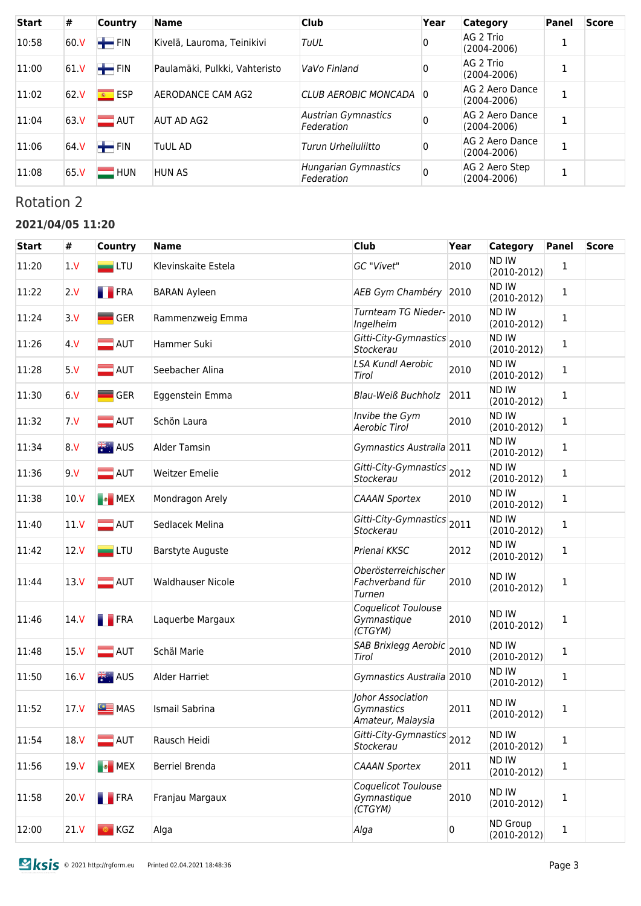| <b>Start</b> | #               | <b>Country</b> | <b>Name</b>                   | <b>Club</b>                        | Year | <b>Category</b>                    | <b>Panel</b> | <b>Score</b> |
|--------------|-----------------|----------------|-------------------------------|------------------------------------|------|------------------------------------|--------------|--------------|
| 10:58        | 60 <sub>N</sub> | $+$ FIN        | Kivelä, Lauroma, Teinikivi    | TuUL                               | 0    | AG 2 Trio<br>$(2004 - 2006)$       |              |              |
| 11:00        | 61V             | $+$ FIN        | Paulamäki, Pulkki, Vahteristo | VaVo Finland                       | 0    | AG 2 Trio<br>$(2004 - 2006)$       |              |              |
| 11:02        | 62.V            | <u>s</u> ESP   | AERODANCE CAM AG2             | CLUB AEROBIC MONCADA               | -0   | AG 2 Aero Dance<br>$(2004 - 2006)$ |              |              |
| 11:04        | 63.V            | $=$ AUT        | AUT AD AG2                    | Austrian Gymnastics<br>Federation  |      | AG 2 Aero Dance<br>$(2004 - 2006)$ |              |              |
| 11:06        | 64.V            | $+$ FIN        | <b>TuUL AD</b>                | Turun Urheiluliitto                | 0    | AG 2 Aero Dance<br>$(2004 - 2006)$ |              |              |
| 11:08        | 65 <sub>N</sub> | <b>HUN</b>     | <b>HUN AS</b>                 | Hungarian Gymnastics<br>Federation |      | AG 2 Aero Step<br>$(2004 - 2006)$  |              |              |

# Rotation 2

### **2021/04/05 11:20**

| <b>Start</b> | #               | <b>Country</b>     | <b>Name</b>              | <b>Club</b>                                          | Year | <b>Category</b>               | <b>Panel</b> | <b>Score</b> |
|--------------|-----------------|--------------------|--------------------------|------------------------------------------------------|------|-------------------------------|--------------|--------------|
| 11:20        | 1 <sub>V</sub>  | $\blacksquare$ LTU | Klevinskaite Estela      | GC "Vivet"                                           | 2010 | ND IW<br>$(2010-2012)$        | 1            |              |
| 11:22        | 2V              | <b>FRA</b>         | <b>BARAN Ayleen</b>      | AEB Gym Chambéry                                     | 2010 | ND IW<br>$(2010-2012)$        | 1            |              |
| 11:24        | 3. V            | $\blacksquare$ GER | Rammenzweig Emma         | Turnteam TG Nieder-<br>Ingelheim                     | 2010 | ND IW<br>$(2010-2012)$        | 1            |              |
| 11:26        | 4 V             | $\blacksquare$ AUT | Hammer Suki              | Gitti-City-Gymnastics 2010<br>Stockerau              |      | ND IW<br>$(2010-2012)$        | 1            |              |
| 11:28        | 5V              | $\blacksquare$ AUT | Seebacher Alina          | <b>LSA Kundl Aerobic</b><br>Tirol                    | 2010 | ND IW<br>$(2010-2012)$        | 1            |              |
| 11:30        | 6V              | <b>GER</b>         | Eggenstein Emma          | <b>Blau-Weiß Buchholz</b>                            | 2011 | ND IW<br>$(2010-2012)$        | 1            |              |
| 11:32        | 7 <sub>V</sub>  | $\blacksquare$ AUT | Schön Laura              | Invibe the Gym<br>Aerobic Tirol                      | 2010 | ND IW<br>$(2010-2012)$        | 1            |              |
| 11:34        | 8. V            | 米· AUS             | <b>Alder Tamsin</b>      | Gymnastics Australia 2011                            |      | ND IW<br>$(2010-2012)$        | 1            |              |
| 11:36        | 9 <sub>N</sub>  | $\blacksquare$ AUT | <b>Weitzer Emelie</b>    | Gitti-City-Gymnastics 2012<br>Stockerau              |      | ND IW<br>$(2010-2012)$        | 1            |              |
| 11:38        | 10 <sub>N</sub> | <b>EX</b> MEX      | Mondragon Arely          | <b>CAAAN Sportex</b>                                 | 2010 | ND IW<br>$(2010-2012)$        | 1            |              |
| 11:40        | 11V             | $\blacksquare$ AUT | Sedlacek Melina          | Gitti-City-Gymnastics<br>Stockerau                   | 2011 | <b>ND IW</b><br>$(2010-2012)$ | 1            |              |
| 11:42        | 12 <sub>V</sub> | $\blacksquare$ LTU | <b>Barstyte Auguste</b>  | Prienai KKSC                                         | 2012 | <b>ND IW</b><br>$(2010-2012)$ | 1            |              |
| 11:44        | 13V             | $\blacksquare$ AUT | <b>Waldhauser Nicole</b> | Oberösterreichischer<br>Fachverband für<br>Turnen    | 2010 | ND IW<br>$(2010-2012)$        | 1            |              |
| 11:46        | 14 <sub>V</sub> | <b>FRA</b>         | Laquerbe Margaux         | Coquelicot Toulouse<br>Gymnastique<br>(CTGYM)        | 2010 | ND IW<br>$(2010-2012)$        | 1            |              |
| 11:48        | 15 <sub>V</sub> | $\blacksquare$ AUT | Schäl Marie              | SAB Brixlegg Aerobic 2010<br>Tirol                   |      | ND IW<br>$(2010-2012)$        | 1            |              |
| 11:50        | 16 <sub>V</sub> | 米· AUS             | Alder Harriet            | Gymnastics Australia 2010                            |      | <b>ND IW</b><br>$(2010-2012)$ | 1            |              |
| 11:52        | 17 <sub>N</sub> | <b>SEE</b> MAS     | Ismail Sabrina           | Johor Association<br>Gymnastics<br>Amateur, Malaysia | 2011 | ND IW<br>$(2010-2012)$        | $\mathbf 1$  |              |
| 11:54        | 18 V            | $\blacksquare$ AUT | Rausch Heidi             | Gitti-City-Gymnastics 2012<br>Stockerau              |      | ND IW<br>$(2010-2012)$        | $\mathbf 1$  |              |
| 11:56        | 19 <sub>N</sub> | <b>EX</b> MEX      | Berriel Brenda           | <b>CAAAN Sportex</b>                                 | 2011 | ND IW<br>$(2010-2012)$        | $\mathbf 1$  |              |
| 11:58        | 20 V            | <b>FRA</b>         | Franjau Margaux          | Coquelicot Toulouse<br>Gymnastique<br>(CTGYM)        | 2010 | ND IW<br>$(2010-2012)$        | $\mathbf 1$  |              |
| 12:00        | 21V             | KGZ<br>$\circ$     | Alga                     | Alga                                                 | 0    | ND Group<br>$(2010-2012)$     | 1            |              |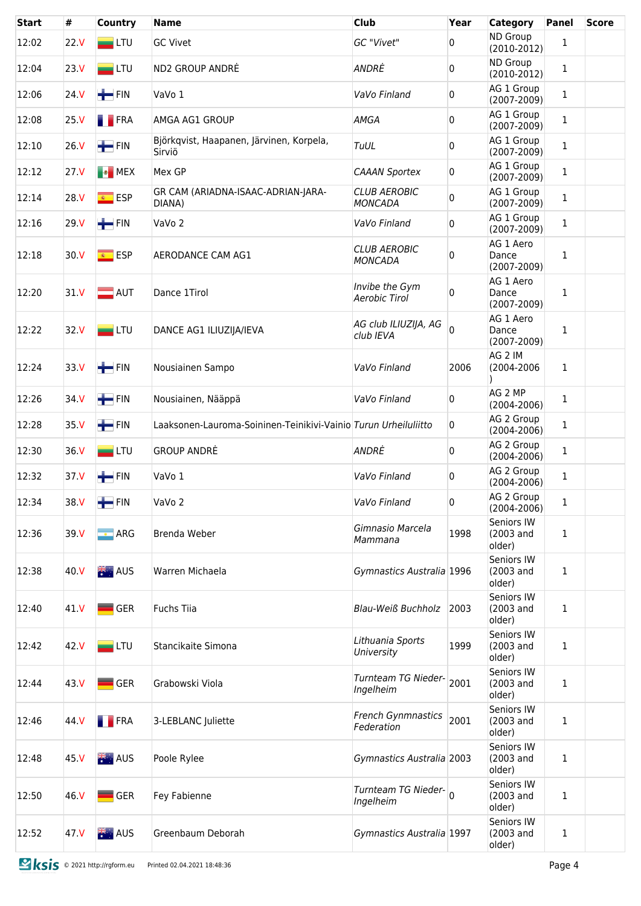| <b>Start</b> | #               | Country             | <b>Name</b>                                                     | Club                                  | Year           | <b>Category</b>                       | <b>Panel</b> | <b>Score</b> |
|--------------|-----------------|---------------------|-----------------------------------------------------------------|---------------------------------------|----------------|---------------------------------------|--------------|--------------|
| 12:02        | 22. V           | $\blacksquare$ LTU  | <b>GC Vivet</b>                                                 | GC "Vivet"                            | 0              | <b>ND Group</b><br>$(2010-2012)$      | 1            |              |
| 12:04        | 23. V           | $\blacksquare$ LTU  | ND2 GROUP ANDRÉ                                                 | ANDRĖ                                 | 0              | <b>ND Group</b><br>$(2010-2012)$      | $\mathbf{1}$ |              |
| 12:06        | 24 V            | $+$ FIN             | VaVo 1                                                          | VaVo Finland                          | 0              | AG 1 Group<br>$(2007 - 2009)$         | $\mathbf{1}$ |              |
| 12:08        | 25 <sub>V</sub> | <b>FRA</b>          | AMGA AG1 GROUP                                                  | AMGA                                  | 0              | AG 1 Group<br>$(2007 - 2009)$         | $\mathbf{1}$ |              |
| 12:10        | 26 V            | $\blacksquare$ FIN  | Björkqvist, Haapanen, Järvinen, Korpela,<br>Sirviö              | TuUL                                  | 0              | AG 1 Group<br>$(2007 - 2009)$         | $\mathbf{1}$ |              |
| 12:12        | 27. V           | <b>EX</b> MEX       | Mex GP                                                          | <b>CAAAN Sportex</b>                  | 0              | AG 1 Group<br>$(2007 - 2009)$         | $\mathbf{1}$ |              |
| 12:14        | 28.V            | <mark>⊛ ESP</mark>  | GR CAM (ARIADNA-ISAAC-ADRIAN-JARA-<br>DIANA)                    | <b>CLUB AEROBIC</b><br>MONCADA        | 0              | AG 1 Group<br>$(2007 - 2009)$         | $\mathbf{1}$ |              |
| 12:16        | 29 V            | $\blacksquare$ FIN  | VaVo <sub>2</sub>                                               | VaVo Finland                          | 0              | AG 1 Group<br>$(2007 - 2009)$         | $\mathbf{1}$ |              |
| 12:18        | 30 <sub>N</sub> | <mark>⊛ ESP</mark>  | AERODANCE CAM AG1                                               | <b>CLUB AEROBIC</b><br><b>MONCADA</b> | 0              | AG 1 Aero<br>Dance<br>$(2007 - 2009)$ | 1            |              |
| 12:20        | 31 <sub>N</sub> | $\blacksquare$ AUT  | Dance 1Tirol                                                    | Invibe the Gym<br>Aerobic Tirol       | 0              | AG 1 Aero<br>Dance<br>$(2007 - 2009)$ | 1            |              |
| 12:22        | 32.V            | $\blacksquare$ LTU  | DANCE AG1 ILIUZIJA/IEVA                                         | AG club ILIUZIJA, AG<br>club IEVA     | $\Omega$       | AG 1 Aero<br>Dance<br>(2007-2009)     | 1            |              |
| 12:24        | 33 V            | $H$ FIN             | Nousiainen Sampo                                                | VaVo Finland                          | 2006           | AG 2 IM<br>(2004-2006                 | 1            |              |
| 12:26        | 34 V            | $+$ FIN             | Nousiainen, Nääppä                                              | VaVo Finland                          | $\overline{0}$ | AG 2 MP<br>$(2004 - 2006)$            | 1            |              |
| 12:28        | 35 V            | $\blacksquare$ FIN  | Laaksonen-Lauroma-Soininen-Teinikivi-Vainio Turun Urheiluliitto |                                       | 0              | AG 2 Group<br>$(2004 - 2006)$         | $\mathbf 1$  |              |
| 12:30        | 36. V           | $=$ LTU             | <b>GROUP ANDRÉ</b>                                              | ANDRĖ                                 | $\mathbf{0}$   | AG 2 Group<br>$(2004 - 2006)$         | $\mathbf 1$  |              |
| 12:32        | 37 V            | $\leftarrow$ FIN    | VaVo 1                                                          | VaVo Finland                          | 0              | AG 2 Group<br>$(2004 - 2006)$         | $\mathbf 1$  |              |
| 12:34        | 38 V            | $\blacksquare$ FIN  | VaVo <sub>2</sub>                                               | VaVo Finland                          | 0              | AG 2 Group<br>$(2004 - 2006)$         | $\mathbf{1}$ |              |
| 12:36        | 39 V            | · ARG               | Brenda Weber                                                    | Gimnasio Marcela<br>Mammana           | 1998           | Seniors IW<br>(2003 and<br>older)     | 1            |              |
| 12:38        | 40 V            | 类:AUS               | Warren Michaela                                                 | Gymnastics Australia 1996             |                | Seniors IW<br>(2003 and<br>older)     | 1            |              |
| 12:40        | 41 V            | $\blacksquare$ GER  | <b>Fuchs Tiia</b>                                               | <b>Blau-Weiß Buchholz</b>             | 2003           | Seniors IW<br>(2003 and<br>older)     | 1            |              |
| 12:42        | 42.V            | $=$ LTU             | Stancikaite Simona                                              | Lithuania Sports<br>University        | 1999           | Seniors IW<br>(2003 and<br>older)     | 1            |              |
| 12:44        | 43 V            | $\blacksquare$ GER  | Grabowski Viola                                                 | Turnteam TG Nieder-<br>Ingelheim      | 2001           | Seniors IW<br>(2003 and<br>older)     | 1            |              |
| 12:46        | 44 V            | <b>FRA</b>          | 3-LEBLANC Juliette                                              | French Gynmnastics<br>Federation      | 2001           | Seniors IW<br>(2003 and<br>older)     | 1            |              |
| 12:48        | 45 V            | <b>Exercise AUS</b> | Poole Rylee                                                     | Gymnastics Australia 2003             |                | Seniors IW<br>(2003 and<br>older)     | 1            |              |
| 12:50        | 46.V            | $\blacksquare$ GER  | Fey Fabienne                                                    | Turnteam TG Nieder-<br>Ingelheim      |                | Seniors IW<br>(2003 and<br>older)     | 1            |              |
| 12:52        | 47 V            | 类:AUS               | Greenbaum Deborah                                               | Gymnastics Australia 1997             |                | Seniors IW<br>(2003 and<br>older)     | 1            |              |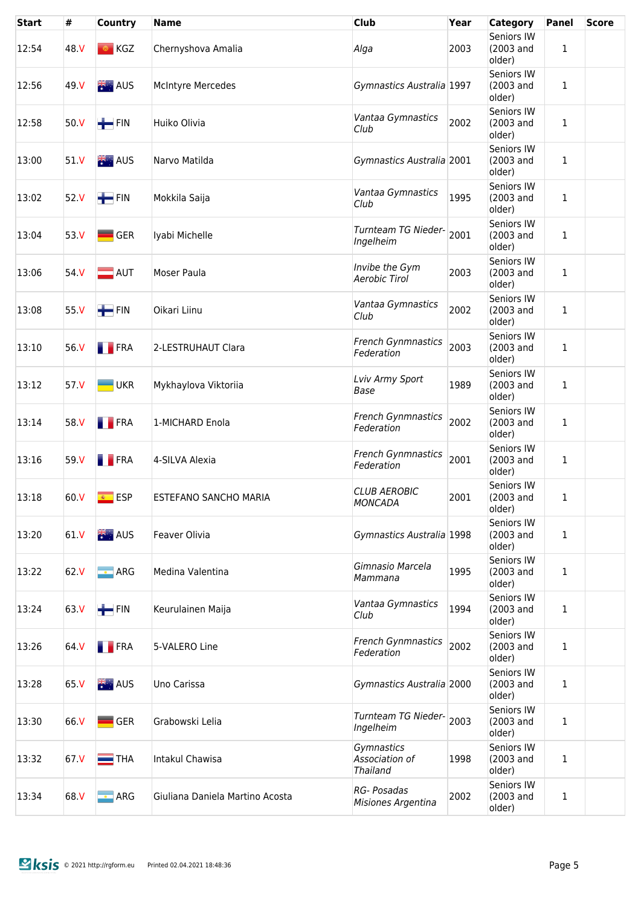| <b>Start</b> | #    | <b>Country</b>               | <b>Name</b>                     | <b>Club</b>                                     | Year | <b>Category</b>                   | <b>Panel</b> | <b>Score</b> |
|--------------|------|------------------------------|---------------------------------|-------------------------------------------------|------|-----------------------------------|--------------|--------------|
| 12:54        | 48.V | $\bullet$ KGZ                | Chernyshova Amalia              | Alga                                            | 2003 | Seniors IW<br>(2003 and<br>older) | 1            |              |
| 12:56        | 49 V | 米· AUS                       | McIntyre Mercedes               | Gymnastics Australia 1997                       |      | Seniors IW<br>(2003 and<br>older) | 1            |              |
| 12:58        | 50.V | $+$ FIN                      | Huiko Olivia                    | Vantaa Gymnastics<br>Club                       | 2002 | Seniors IW<br>(2003 and<br>older) | 1            |              |
| 13:00        | 51 V | 张· AUS                       | Narvo Matilda                   | Gymnastics Australia 2001                       |      | Seniors IW<br>(2003 and<br>older) | 1            |              |
| 13:02        | 52 V | $\leftarrow$ FIN             | Mokkila Saija                   | Vantaa Gymnastics<br>Club                       | 1995 | Seniors IW<br>(2003 and<br>older) | 1            |              |
| 13:04        | 53 V | $\blacksquare$ GER           | Iyabi Michelle                  | Turnteam TG Nieder-<br>Ingelheim                | 2001 | Seniors IW<br>(2003 and<br>older) | 1            |              |
| 13:06        | 54 V | $\blacksquare$ AUT           | Moser Paula                     | Invibe the Gym<br>Aerobic Tirol                 | 2003 | Seniors IW<br>(2003 and<br>older) | 1            |              |
| 13:08        | 55 V | $\blacksquare$ FIN           | Oikari Liinu                    | Vantaa Gymnastics<br>Club                       | 2002 | Seniors IW<br>(2003 and<br>older) | 1            |              |
| 13:10        | 56.V | <b>FRA</b>                   | 2-LESTRUHAUT Clara              | French Gynmnastics<br>Federation                | 2003 | Seniors IW<br>(2003 and<br>older) | 1            |              |
| 13:12        | 57 V | $\blacksquare$ UKR           | Mykhaylova Viktoriia            | Lviv Army Sport<br>Base                         | 1989 | Seniors IW<br>(2003 and<br>older) | 1            |              |
| 13:14        | 58 V | <b>FRA</b>                   | 1-MICHARD Enola                 | <b>French Gynmnastics</b><br>Federation         | 2002 | Seniors IW<br>(2003 and<br>older) | 1            |              |
| 13:16        | 59 V | <b>FRA</b>                   | 4-SILVA Alexia                  | French Gynmnastics<br>Federation                | 2001 | Seniors IW<br>(2003 and<br>older) | $\mathbf{1}$ |              |
| 13:18        | 60 V | <mark>⊛ ESP</mark>           | ESTEFANO SANCHO MARIA           | <b>CLUB AEROBIC</b><br><b>MONCADA</b>           | 2001 | Seniors IW<br>(2003 and<br>older) | 1            |              |
| 13:20        | 61 V | 张· AUS                       | Feaver Olivia                   | Gymnastics Australia 1998                       |      | Seniors IW<br>(2003 and<br>older) | $\mathbf{1}$ |              |
| 13:22        | 62.V | <b>ARG</b>                   | Medina Valentina                | Gimnasio Marcela<br>Mammana                     | 1995 | Seniors IW<br>(2003 and<br>older) | 1            |              |
| 13:24        | 63 V | $\blacksquare$ FIN           | Keurulainen Maija               | Vantaa Gymnastics<br>Club                       | 1994 | Seniors IW<br>(2003 and<br>older) | 1            |              |
| 13:26        | 64 V | <b>FRA</b>                   | 5-VALERO Line                   | <b>French Gynmnastics</b><br>Federation         | 2002 | Seniors IW<br>(2003 and<br>older) | 1            |              |
| 13:28        | 65 V | <b>NEW AUS</b>               | Uno Carissa                     | Gymnastics Australia 2000                       |      | Seniors IW<br>(2003 and<br>older) | $\mathbf 1$  |              |
| 13:30        | 66 V | $\overline{\phantom{a}}$ GER | Grabowski Lelia                 | Turnteam TG Nieder-<br>Ingelheim                | 2003 | Seniors IW<br>(2003 and<br>older) | 1            |              |
| 13:32        | 67.V | $\blacksquare$ THA           | Intakul Chawisa                 | Gymnastics<br>Association of<br><b>Thailand</b> | 1998 | Seniors IW<br>(2003 and<br>older) | 1            |              |
| 13:34        | 68 V | $\blacksquare$ ARG           | Giuliana Daniela Martino Acosta | RG- Posadas<br>Misiones Argentina               | 2002 | Seniors IW<br>(2003 and<br>older) | 1            |              |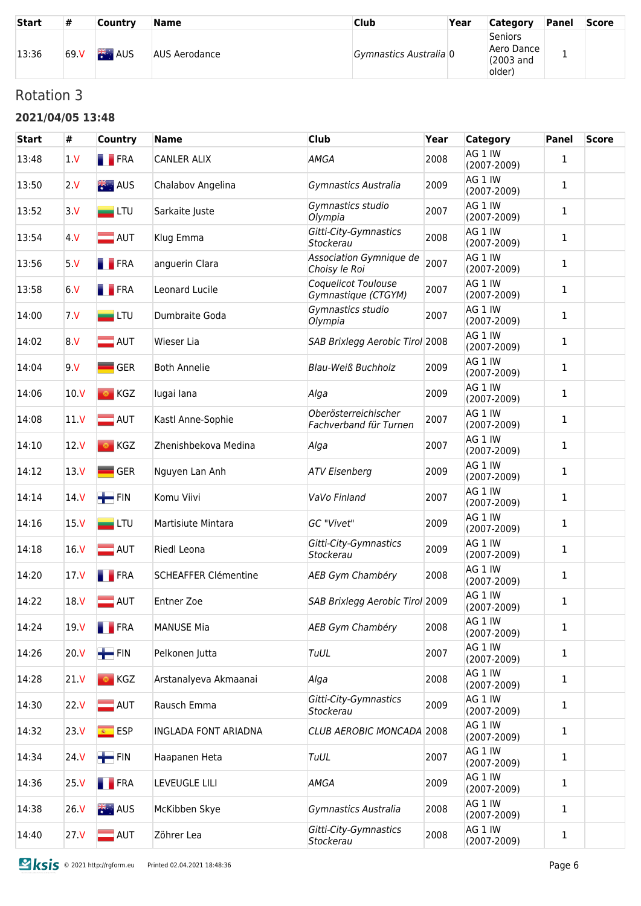| <b>Start</b> | #     | <b>Country</b>      | Name          | <b>Club</b>            | Year | <b>Category</b>                              | Panel | <b>Score</b> |
|--------------|-------|---------------------|---------------|------------------------|------|----------------------------------------------|-------|--------------|
| 13:36        | 69. V | <b>XXXXXXXXXXXX</b> | AUS Aerodance | Gymnastics Australia 0 |      | Seniors<br>Aero Dance<br>(2003 and<br>older) |       |              |

# Rotation 3

#### **2021/04/05 13:48**

| <b>Start</b> | #               | Country                  | <b>Name</b>                 | <b>Club</b>                                    | Year | Category                   | Panel        | <b>Score</b> |
|--------------|-----------------|--------------------------|-----------------------------|------------------------------------------------|------|----------------------------|--------------|--------------|
| 13:48        | 1 <sub>V</sub>  | <b>FRA</b>               | CANLER ALIX                 | <b>AMGA</b>                                    | 2008 | AG 1 IW<br>$(2007 - 2009)$ | 1            |              |
| 13:50        | 2.V             | 米· AUS                   | Chalabov Angelina           | Gymnastics Australia                           | 2009 | AG 1 IW<br>$(2007 - 2009)$ | 1            |              |
| 13:52        | 3. V            | $=$ LTU                  | Sarkaite Juste              | Gymnastics studio<br>Olympia                   | 2007 | AG 1 IW<br>$(2007 - 2009)$ | 1            |              |
| 13:54        | 4. V            | $\blacksquare$ AUT       | Klug Emma                   | Gitti-City-Gymnastics<br>Stockerau             | 2008 | AG 1 IW<br>$(2007 - 2009)$ | $\mathbf{1}$ |              |
| 13:56        | 5. V            | <b>FRA</b>               | anguerin Clara              | Association Gymnique de<br>Choisy le Roi       | 2007 | AG 1 IW<br>$(2007 - 2009)$ | 1            |              |
| 13:58        | 6. V            | <b>FRA</b>               | Leonard Lucile              | Coquelicot Toulouse<br>Gymnastique (CTGYM)     | 2007 | AG 1 IW<br>$(2007 - 2009)$ | 1            |              |
| 14:00        | 7 <sub>N</sub>  | $=$ LTU                  | Dumbraite Goda              | Gymnastics studio<br>Olympia                   | 2007 | AG 1 IW<br>$(2007 - 2009)$ | 1            |              |
| 14:02        | 8.V             | $\blacksquare$ AUT       | Wieser Lia                  | SAB Brixlegg Aerobic Tirol 2008                |      | AG 1 IW<br>$(2007 - 2009)$ | 1            |              |
| 14:04        | 9V              | GER                      | <b>Both Annelie</b>         | <b>Blau-Weiß Buchholz</b>                      | 2009 | AG 1 IW<br>$(2007 - 2009)$ | 1            |              |
| 14:06        | 10. V           | ◎ KGZ                    | lugai lana                  | Alga                                           | 2009 | AG 1 IW<br>$(2007 - 2009)$ | 1            |              |
| 14:08        | 11V             | $\blacksquare$ AUT       | Kastl Anne-Sophie           | Oberösterreichischer<br>Fachverband für Turnen | 2007 | AG 1 IW<br>$(2007 - 2009)$ | 1            |              |
| 14:10        | 12.V            | ◎ KGZ                    | Zhenishbekova Medina        | Alga                                           | 2007 | AG 1 IW<br>$(2007 - 2009)$ | $\mathbf{1}$ |              |
| 14:12        | 13 <sub>V</sub> | <b>GER</b>               | Nguyen Lan Anh              | <b>ATV Eisenberg</b>                           | 2009 | AG 1 IW<br>$(2007 - 2009)$ | 1            |              |
| 14:14        | 14V             | $+$ FIN                  | Komu Viivi                  | VaVo Finland                                   | 2007 | AG 1 IW<br>$(2007 - 2009)$ | 1            |              |
| 14:16        | 15 <sub>N</sub> | $\blacksquare$ LTU       | Martisiute Mintara          | GC "Vivet"                                     | 2009 | AG 1 IW<br>$(2007 - 2009)$ | $\mathbf{1}$ |              |
| 14:18        | 16V             | $\blacksquare$ AUT       | Riedl Leona                 | Gitti-City-Gymnastics<br>Stockerau             | 2009 | AG 1 IW<br>$(2007 - 2009)$ | $\mathbf 1$  |              |
| 14:20        | 17 <sub>V</sub> | <b>FRA</b>               | <b>SCHEAFFER Clémentine</b> | AEB Gym Chambéry                               | 2008 | AG 1 IW<br>$(2007 - 2009)$ | 1            |              |
| 14:22        | 18 V            | $\blacksquare$ AUT       | <b>Entner Zoe</b>           | SAB Brixlegg Aerobic Tirol 2009                |      | AG 1 IW<br>$(2007 - 2009)$ | $\mathbf{1}$ |              |
| 14:24        | 19 <sub>V</sub> | $\blacksquare$ FRA       | <b>MANUSE Mia</b>           | AEB Gym Chambéry                               | 2008 | AG 1 IW<br>$(2007 - 2009)$ | $\mathbf 1$  |              |
| 14:26        | 20. V           | $\blacksquare$ FIN       | Pelkonen Jutta              | TuUL                                           | 2007 | AG 1 IW<br>$(2007 - 2009)$ | 1            |              |
| 14:28        | 21V             | $\bullet$ KGZ            | Arstanalyeva Akmaanai       | Alga                                           | 2008 | AG 1 IW<br>$(2007 - 2009)$ | 1            |              |
| 14:30        | 22 <sub>N</sub> | $\blacksquare$ AUT       | Rausch Emma                 | Gitti-City-Gymnastics<br>Stockerau             | 2009 | AG 1 IW<br>$(2007 - 2009)$ | 1            |              |
| 14:32        | 23. V           | $\overline{\bullet}$ ESP | <b>INGLADA FONT ARIADNA</b> | CLUB AEROBIC MONCADA 2008                      |      | AG 1 IW<br>$(2007 - 2009)$ | 1            |              |
| 14:34        | 24 V            | $\blacksquare$ FIN       | Haapanen Heta               | TuUL                                           | 2007 | AG 1 IW<br>$(2007 - 2009)$ | 1            |              |
| 14:36        | 25 V            | <b>FRA</b>               | LEVEUGLE LILI               | <b>AMGA</b>                                    | 2009 | AG 1 IW<br>$(2007 - 2009)$ | 1            |              |
| 14:38        | 26. V           | 米· AUS                   | McKibben Skye               | Gymnastics Australia                           | 2008 | AG 1 IW<br>$(2007 - 2009)$ | 1            |              |
| 14:40        | 27 <sub>V</sub> | $\blacksquare$ AUT       | Zöhrer Lea                  | Gitti-City-Gymnastics<br>Stockerau             | 2008 | AG 1 IW<br>$(2007 - 2009)$ | $\mathbf 1$  |              |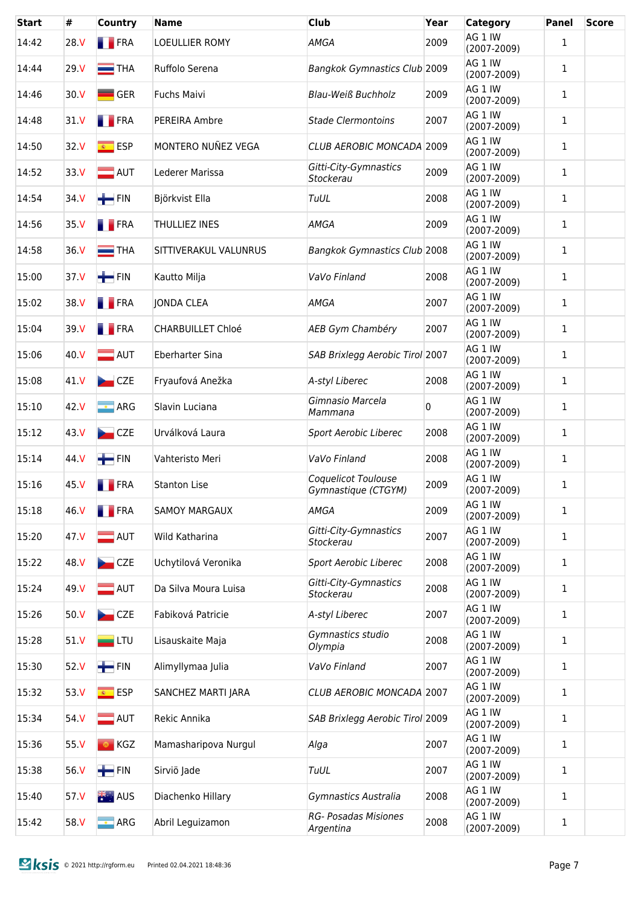| Start | #               | Country                  | <b>Name</b>              | Club                                       | Year | <b>Category</b>            | <b>Panel</b> | <b>Score</b> |
|-------|-----------------|--------------------------|--------------------------|--------------------------------------------|------|----------------------------|--------------|--------------|
| 14:42 | 28 V            | <b>FRA</b>               | LOEULLIER ROMY           | <b>AMGA</b>                                | 2009 | AG 1 IW<br>$(2007 - 2009)$ | 1            |              |
| 14:44 | 29. V           | $\equiv$ THA             | Ruffolo Serena           | Bangkok Gymnastics Club 2009               |      | AG 1 IW<br>$(2007 - 2009)$ | 1            |              |
| 14:46 | 30. V           | <b>GER</b>               | Fuchs Maivi              | <b>Blau-Weiß Buchholz</b>                  | 2009 | AG 1 IW<br>$(2007 - 2009)$ | $\mathbf{1}$ |              |
| 14:48 | 31 V            | <b>FRA</b>               | PEREIRA Ambre            | <b>Stade Clermontoins</b>                  | 2007 | AG 1 IW<br>$(2007 - 2009)$ | $\mathbf{1}$ |              |
| 14:50 | 32.V            | $\overline{\bullet}$ ESP | MONTERO NUÑEZ VEGA       | CLUB AEROBIC MONCADA 2009                  |      | AG 1 IW<br>$(2007 - 2009)$ | 1            |              |
| 14:52 | 33 <sub>N</sub> | $\blacksquare$ AUT       | Lederer Marissa          | Gitti-City-Gymnastics<br>Stockerau         | 2009 | AG 1 IW<br>$(2007 - 2009)$ | 1            |              |
| 14:54 | 34 V            | $\blacksquare$ FIN       | Björkvist Ella           | TuUL                                       | 2008 | AG 1 IW<br>$(2007 - 2009)$ | 1            |              |
| 14:56 | 35 V            | <b>FRA</b>               | <b>THULLIEZ INES</b>     | <b>AMGA</b>                                | 2009 | AG 1 IW<br>$(2007 - 2009)$ | 1            |              |
| 14:58 | 36 V            | $\equiv$ THA             | SITTIVERAKUL VALUNRUS    | <b>Bangkok Gymnastics Club 2008</b>        |      | AG 1 IW<br>$(2007 - 2009)$ | 1            |              |
| 15:00 | 37 V            | $H$ FIN                  | Kautto Milja             | VaVo Finland                               | 2008 | AG 1 IW<br>$(2007 - 2009)$ | 1            |              |
| 15:02 | 38.V            | <b>FRA</b>               | <b>JONDA CLEA</b>        | <b>AMGA</b>                                | 2007 | AG 1 IW<br>$(2007 - 2009)$ | 1            |              |
| 15:04 | 39 V            | <b>FRA</b>               | <b>CHARBUILLET Chloé</b> | AEB Gym Chambéry                           | 2007 | AG 1 IW<br>$(2007 - 2009)$ | 1            |              |
| 15:06 | 40.V            | $\blacksquare$ AUT       | <b>Eberharter Sina</b>   | SAB Brixlegg Aerobic Tirol 2007            |      | AG 1 IW<br>$(2007 - 2009)$ | 1            |              |
| 15:08 | 41 V            | CZE                      | Fryaufová Anežka         | A-styl Liberec                             | 2008 | AG 1 IW<br>$(2007 - 2009)$ | 1            |              |
| 15:10 | 42 V            | $\boxed{\cdot}$ ARG      | Slavin Luciana           | Gimnasio Marcela<br>Mammana                | 0    | AG 1 IW<br>$(2007 - 2009)$ | 1            |              |
| 15:12 | 43 V            | CZE                      | Urválková Laura          | Sport Aerobic Liberec                      | 2008 | AG 1 IW<br>$(2007 - 2009)$ | 1            |              |
| 15:14 | 44 V            | $\blacksquare$ FIN       | Vahteristo Meri          | VaVo Finland                               | 2008 | AG 1 IW<br>$(2007 - 2009)$ | 1            |              |
| 15:16 | 45 V            | <b>FRA</b>               | <b>Stanton Lise</b>      | Coquelicot Toulouse<br>Gymnastique (CTGYM) | 2009 | AG 1 IW<br>$(2007 - 2009)$ | 1            |              |
| 15:18 | 46 V            | <b>FRA</b>               | <b>SAMOY MARGAUX</b>     | <b>AMGA</b>                                | 2009 | AG 1 IW<br>$(2007 - 2009)$ | 1            |              |
| 15:20 | 47 V            | $\blacksquare$ AUT       | Wild Katharina           | Gitti-City-Gymnastics<br>Stockerau         | 2007 | AG 1 IW<br>$(2007 - 2009)$ | 1            |              |
| 15:22 | 48 V            | CZE                      | Uchytilová Veronika      | Sport Aerobic Liberec                      | 2008 | AG 1 IW<br>$(2007 - 2009)$ | 1            |              |
| 15:24 | 49 V            | $\blacksquare$ AUT       | Da Silva Moura Luisa     | Gitti-City-Gymnastics<br>Stockerau         | 2008 | AG 1 IW<br>$(2007 - 2009)$ | 1            |              |
| 15:26 | 50 <sub>N</sub> | CZE                      | Fabiková Patricie        | A-styl Liberec                             | 2007 | AG 1 IW<br>$(2007 - 2009)$ | 1            |              |
| 15:28 | 51 V            | $=$ LTU                  | Lisauskaite Maja         | Gymnastics studio<br>Olympia               | 2008 | AG 1 IW<br>$(2007 - 2009)$ | 1            |              |
| 15:30 | 52 V            | $\blacksquare$ FIN       | Alimyllymaa Julia        | VaVo Finland                               | 2007 | AG 1 IW<br>$(2007 - 2009)$ | 1            |              |
| 15:32 | 53 V            | <mark>⊛ ESP</mark>       | SANCHEZ MARTI JARA       | CLUB AEROBIC MONCADA 2007                  |      | AG 1 IW<br>$(2007 - 2009)$ | 1            |              |
| 15:34 | 54 V            | $\equiv$ AUT             | Rekic Annika             | SAB Brixlegg Aerobic Tirol 2009            |      | AG 1 IW<br>$(2007 - 2009)$ | 1            |              |
| 15:36 | 55 V            | ◎ KGZ                    | Mamasharipova Nurgul     | Alga                                       | 2007 | AG 1 IW<br>$(2007 - 2009)$ | 1            |              |
| 15:38 | 56 V            | $\blacksquare$ FIN       | Sirviö Jade              | TuUL                                       | 2007 | AG 1 IW<br>$(2007 - 2009)$ | 1            |              |
| 15:40 | 57 V            | 米· AUS                   | Diachenko Hillary        | Gymnastics Australia                       | 2008 | AG 1 IW<br>$(2007 - 2009)$ | 1            |              |
| 15:42 | 58 V            | $\blacksquare$ ARG       | Abril Leguizamon         | <b>RG- Posadas Misiones</b><br>Argentina   | 2008 | AG 1 IW<br>$(2007 - 2009)$ | 1            |              |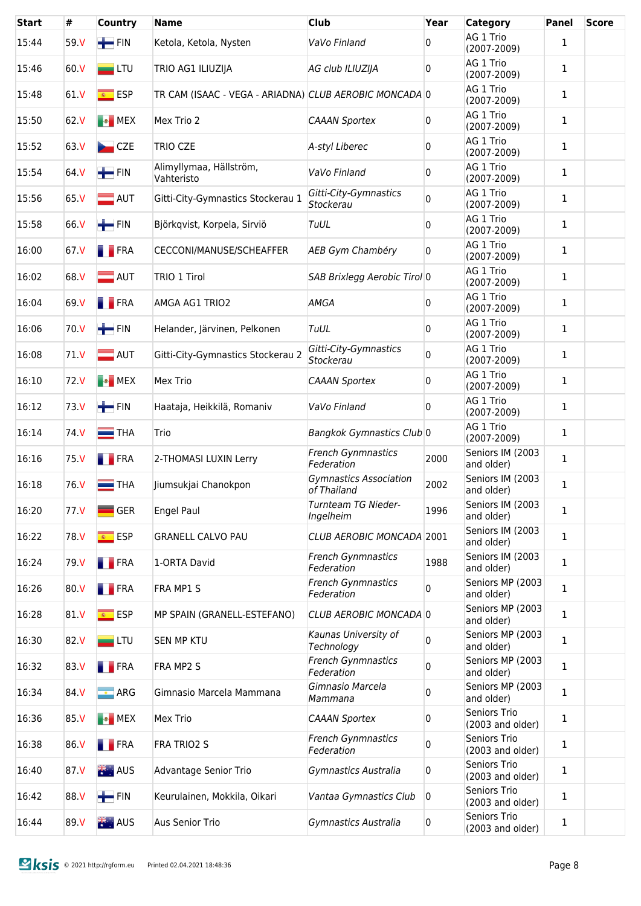| <b>Start</b> | #               | Country                  | <b>Name</b>                                            | <b>Club</b>                                  | Year | <b>Category</b>                  | <b>Panel</b> | <b>Score</b> |
|--------------|-----------------|--------------------------|--------------------------------------------------------|----------------------------------------------|------|----------------------------------|--------------|--------------|
| 15:44        | 59 V            | $\blacksquare$ FIN       | Ketola, Ketola, Nysten                                 | VaVo Finland                                 | 0    | AG 1 Trio<br>$(2007 - 2009)$     | $\mathbf{1}$ |              |
| 15:46        | 60.V            | $\blacksquare$ LTU       | TRIO AG1 ILIUZIJA                                      | AG club ILIUZIJA                             | 0    | AG 1 Trio<br>$(2007 - 2009)$     | $\mathbf{1}$ |              |
| 15:48        | 61 V            | $\overline{\bullet}$ ESP | TR CAM (ISAAC - VEGA - ARIADNA) CLUB AEROBIC MONCADA 0 |                                              |      | AG 1 Trio<br>$(2007 - 2009)$     | $\mathbf{1}$ |              |
| 15:50        | 62 <sub>N</sub> | <b>B</b> MEX             | Mex Trio 2                                             | <b>CAAAN Sportex</b>                         | 0    | AG 1 Trio<br>$(2007 - 2009)$     | 1            |              |
| 15:52        | 63.V            | CZE                      | <b>TRIO CZE</b>                                        | A-styl Liberec                               | 0    | AG 1 Trio<br>$(2007 - 2009)$     | 1            |              |
| 15:54        | 64 V            | $\blacksquare$ FIN       | Alimyllymaa, Hällström,<br>Vahteristo                  | VaVo Finland                                 | 0    | AG 1 Trio<br>$(2007 - 2009)$     | 1            |              |
| 15:56        | 65 V            | $\blacksquare$ AUT       | Gitti-City-Gymnastics Stockerau 1                      | Gitti-City-Gymnastics<br>Stockerau           | 0    | AG 1 Trio<br>$(2007 - 2009)$     | 1            |              |
| 15:58        | 66 V            | $\blacksquare$ FIN       | Björkqvist, Korpela, Sirviö                            | TuUL                                         | 0    | AG 1 Trio<br>$(2007 - 2009)$     | 1            |              |
| 16:00        | 67 V            | <b>T</b> FRA             | CECCONI/MANUSE/SCHEAFFER                               | AEB Gym Chambéry                             | 0    | AG 1 Trio<br>$(2007 - 2009)$     | 1            |              |
| 16:02        | 68 V            | $\blacksquare$ AUT       | TRIO 1 Tirol                                           | SAB Brixlegg Aerobic Tirol 0                 |      | AG 1 Trio<br>$(2007 - 2009)$     | 1            |              |
| 16:04        | 69 V            | <b>FRA</b>               | AMGA AG1 TRIO2                                         | <b>AMGA</b>                                  | 0    | AG 1 Trio<br>$(2007 - 2009)$     | 1            |              |
| 16:06        | 70 V            | $\blacksquare$ FIN       | Helander, Järvinen, Pelkonen                           | <b>TuUL</b>                                  | 0    | AG 1 Trio<br>$(2007 - 2009)$     | 1            |              |
| 16:08        | 71 V            | $\blacksquare$ AUT       | Gitti-City-Gymnastics Stockerau 2                      | Gitti-City-Gymnastics<br>Stockerau           | 0    | AG 1 Trio<br>$(2007 - 2009)$     | 1            |              |
| 16:10        | 72 V            | <b>B</b> MEX             | Mex Trio                                               | <b>CAAAN Sportex</b>                         | 0    | AG 1 Trio<br>$(2007 - 2009)$     | 1            |              |
| 16:12        | 73 V            | $\blacksquare$ FIN       | Haataja, Heikkilä, Romaniv                             | VaVo Finland                                 | 0    | AG 1 Trio<br>$(2007 - 2009)$     | 1            |              |
| 16:14        | 74 V            | $\equiv$ THA             | Trio                                                   | Bangkok Gymnastics Club 0                    |      | AG 1 Trio<br>$(2007 - 2009)$     | 1            |              |
| 16:16        | 75 V            | <b>FRA</b>               | 2-THOMASI LUXIN Lerry                                  | <b>French Gynmnastics</b><br>Federation      | 2000 | Seniors IM (2003<br>and older)   | 1            |              |
| 16:18        | 76 V            | $\equiv$ THA             | Jiumsukjai Chanokpon                                   | <b>Gymnastics Association</b><br>of Thailand | 2002 | Seniors IM (2003<br>and older)   | 1            |              |
| 16:20        | 77 V            | <b>GER</b>               | Engel Paul                                             | Turnteam TG Nieder-<br>Ingelheim             | 1996 | Seniors IM (2003<br>and older)   | 1            |              |
| 16:22        | 78.V            | <mark>⊛ ESP</mark>       | <b>GRANELL CALVO PAU</b>                               | CLUB AEROBIC MONCADA 2001                    |      | Seniors IM (2003<br>and older)   | 1            |              |
| 16:24        | 79 V            | <b>FRA</b>               | 1-ORTA David                                           | <b>French Gynmnastics</b><br>Federation      | 1988 | Seniors IM (2003<br>and older)   | 1            |              |
| 16:26        | 80 V            | <b>FRA</b>               | FRA MP1 S                                              | <b>French Gynmnastics</b><br>Federation      | 0    | Seniors MP (2003<br>and older)   | 1            |              |
| 16:28        | 81 V            | <mark>⊛ ESP</mark>       | MP SPAIN (GRANELL-ESTEFANO)                            | CLUB AEROBIC MONCADA 0                       |      | Seniors MP (2003<br>and older)   | 1            |              |
| 16:30        | 82 V            | $=$ LTU                  | SEN MP KTU                                             | Kaunas University of<br>Technology           | 0    | Seniors MP (2003<br>and older)   | 1            |              |
| 16:32        | 83.V            | <b>FRA</b>               | FRA MP2 S                                              | <b>French Gynmnastics</b><br>Federation      | 0    | Seniors MP (2003<br>and older)   | 1            |              |
| 16:34        | 84 V            | $\blacksquare$ ARG       | Gimnasio Marcela Mammana                               | Gimnasio Marcela<br>Mammana                  | 0    | Seniors MP (2003<br>and older)   | 1            |              |
| 16:36        | 85 V            | <b>B</b> MEX             | Mex Trio                                               | <b>CAAAN Sportex</b>                         | 0    | Seniors Trio<br>(2003 and older) | 1            |              |
| 16:38        | 86 V            | <b>FRA</b>               | FRA TRIO2 S                                            | <b>French Gynmnastics</b><br>Federation      | 0    | Seniors Trio<br>(2003 and older) | 1            |              |
| 16:40        | 87 V            | <b>类:AUS</b>             | Advantage Senior Trio                                  | Gymnastics Australia                         | 0    | Seniors Trio<br>(2003 and older) | 1            |              |
| 16:42        | 88 V            | $\blacksquare$ FIN       | Keurulainen, Mokkila, Oikari                           | Vantaa Gymnastics Club                       | 0    | Seniors Trio<br>(2003 and older) | 1            |              |
| 16:44        | 89 V            | 米· AUS                   | <b>Aus Senior Trio</b>                                 | Gymnastics Australia                         | 0    | Seniors Trio<br>(2003 and older) | 1            |              |